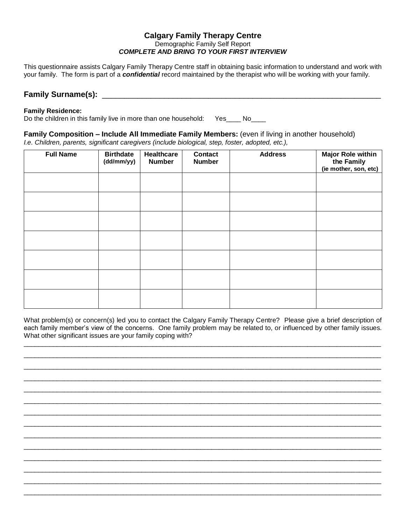#### **Calgary Family Therapy Centre** Demographic Family Self Report *COMPLETE AND BRING TO YOUR FIRST INTERVIEW*

This questionnaire assists Calgary Family Therapy Centre staff in obtaining basic information to understand and work with your family. The form is part of a *confidential* record maintained by the therapist who will be working with your family.

#### **Family Surname(s): CONSIDENT**

#### **Family Residence:**

Do the children in this family live in more than one household: Yes\_\_\_\_ No\_\_\_\_

#### **Family Composition – Include All Immediate Family Members:** (even if living in another household) *I.e. Children, parents, significant caregivers (include biological, step, foster, adopted, etc.),*

| <b>Full Name</b> | <b>Birthdate</b><br>(dd/mm/yy) | Healthcare<br><b>Number</b> | <b>Contact</b><br><b>Number</b> | <b>Address</b> | <b>Major Role within</b><br>the Family<br>(ie mother, son, etc) |
|------------------|--------------------------------|-----------------------------|---------------------------------|----------------|-----------------------------------------------------------------|
|                  |                                |                             |                                 |                |                                                                 |
|                  |                                |                             |                                 |                |                                                                 |
|                  |                                |                             |                                 |                |                                                                 |
|                  |                                |                             |                                 |                |                                                                 |
|                  |                                |                             |                                 |                |                                                                 |
|                  |                                |                             |                                 |                |                                                                 |
|                  |                                |                             |                                 |                |                                                                 |

What problem(s) or concern(s) led you to contact the Calgary Family Therapy Centre? Please give a brief description of each family member's view of the concerns. One family problem may be related to, or influenced by other family issues. What other significant issues are your family coping with?

 $\overline{\phantom{a}}$  , and the contribution of the contribution of the contribution of the contribution of the contribution of the contribution of the contribution of the contribution of the contribution of the contribution of the  $\overline{\phantom{a}}$  , and the contribution of the contribution of the contribution of the contribution of the contribution of the contribution of the contribution of the contribution of the contribution of the contribution of the  $\overline{\phantom{a}}$  ,  $\overline{\phantom{a}}$  ,  $\overline{\phantom{a}}$  ,  $\overline{\phantom{a}}$  ,  $\overline{\phantom{a}}$  ,  $\overline{\phantom{a}}$  ,  $\overline{\phantom{a}}$  ,  $\overline{\phantom{a}}$  ,  $\overline{\phantom{a}}$  ,  $\overline{\phantom{a}}$  ,  $\overline{\phantom{a}}$  ,  $\overline{\phantom{a}}$  ,  $\overline{\phantom{a}}$  ,  $\overline{\phantom{a}}$  ,  $\overline{\phantom{a}}$  ,  $\overline{\phantom{a}}$  $\overline{\phantom{a}}$  , and the contribution of the contribution of the contribution of the contribution of the contribution of the contribution of the contribution of the contribution of the contribution of the contribution of the  $\overline{\phantom{a}}$  , and the contribution of the contribution of the contribution of the contribution of the contribution of the contribution of the contribution of the contribution of the contribution of the contribution of the  $\overline{\phantom{a}}$  , and the set of the set of the set of the set of the set of the set of the set of the set of the set of the set of the set of the set of the set of the set of the set of the set of the set of the set of the s  $\overline{\phantom{a}}$  , and the contribution of the contribution of the contribution of the contribution of the contribution of the contribution of the contribution of the contribution of the contribution of the contribution of the  $\overline{\phantom{a}}$  , and the contribution of the contribution of the contribution of the contribution of the contribution of the contribution of the contribution of the contribution of the contribution of the contribution of the  $\overline{\phantom{a}}$  , and the contribution of the contribution of the contribution of the contribution of the contribution of the contribution of the contribution of the contribution of the contribution of the contribution of the  $\overline{\phantom{a}}$  , and the set of the set of the set of the set of the set of the set of the set of the set of the set of the set of the set of the set of the set of the set of the set of the set of the set of the set of the s  $\overline{\phantom{a}}$  , and the contribution of the contribution of the contribution of the contribution of the contribution of the contribution of the contribution of the contribution of the contribution of the contribution of the  $\overline{\phantom{a}}$  , and the contribution of the contribution of the contribution of the contribution of the contribution of the contribution of the contribution of the contribution of the contribution of the contribution of the  $\overline{\phantom{a}}$  , and the contribution of the contribution of the contribution of the contribution of the contribution of the contribution of the contribution of the contribution of the contribution of the contribution of the  $\overline{\phantom{a}}$  , and the contribution of the contribution of the contribution of the contribution of the contribution of the contribution of the contribution of the contribution of the contribution of the contribution of the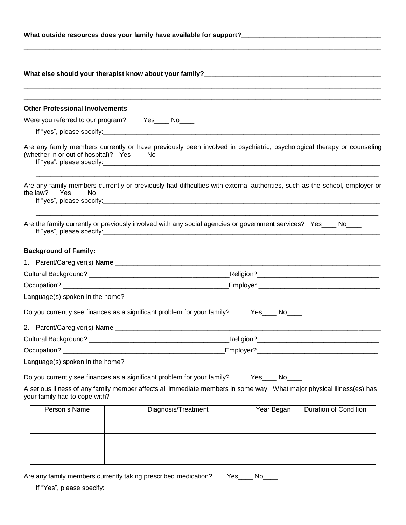|                                                    | What else should your therapist know about your family?<br>What else should your therapist know about your family?         |                   |                              |  |  |  |
|----------------------------------------------------|----------------------------------------------------------------------------------------------------------------------------|-------------------|------------------------------|--|--|--|
| <b>Other Professional Involvements</b>             |                                                                                                                            |                   |                              |  |  |  |
|                                                    | Were you referred to our program? Yes____ No___                                                                            |                   |                              |  |  |  |
|                                                    |                                                                                                                            |                   |                              |  |  |  |
| (whether in or out of hospital)? Yes______ No_____ | Are any family members currently or have previously been involved in psychiatric, psychological therapy or counseling      |                   |                              |  |  |  |
| the law? Yes_____ No_____                          | Are any family members currently or previously had difficulties with external authorities, such as the school, employer or |                   |                              |  |  |  |
|                                                    | Are the family currently or previously involved with any social agencies or government services? Yes____ No___             |                   |                              |  |  |  |
| <b>Background of Family:</b>                       |                                                                                                                            |                   |                              |  |  |  |
|                                                    |                                                                                                                            |                   |                              |  |  |  |
|                                                    |                                                                                                                            |                   |                              |  |  |  |
|                                                    |                                                                                                                            |                   |                              |  |  |  |
|                                                    |                                                                                                                            |                   |                              |  |  |  |
|                                                    | Do you currently see finances as a significant problem for your family? Yes____ No____                                     |                   |                              |  |  |  |
|                                                    |                                                                                                                            |                   |                              |  |  |  |
|                                                    |                                                                                                                            |                   |                              |  |  |  |
|                                                    |                                                                                                                            |                   |                              |  |  |  |
|                                                    |                                                                                                                            |                   |                              |  |  |  |
|                                                    | Do you currently see finances as a significant problem for your family?                                                    | $Yes$ No $\qquad$ |                              |  |  |  |
| your family had to cope with?                      | A serious illness of any family member affects all immediate members in some way. What major physical illness(es) has      |                   |                              |  |  |  |
| Person's Name                                      | Diagnosis/Treatment                                                                                                        | Year Began        | <b>Duration of Condition</b> |  |  |  |
|                                                    |                                                                                                                            |                   |                              |  |  |  |
|                                                    |                                                                                                                            |                   |                              |  |  |  |
|                                                    |                                                                                                                            |                   |                              |  |  |  |
|                                                    |                                                                                                                            |                   |                              |  |  |  |

Are any family members currently taking prescribed medication? Yes\_\_\_\_ No\_\_\_\_

If "Yes", please specify: \_\_\_\_\_\_\_\_\_\_\_\_\_\_\_\_\_\_\_\_\_\_\_\_\_\_\_\_\_\_\_\_\_\_\_\_\_\_\_\_\_\_\_\_\_\_\_\_\_\_\_\_\_\_\_\_\_\_\_\_\_\_\_\_\_\_\_\_\_\_\_\_\_\_